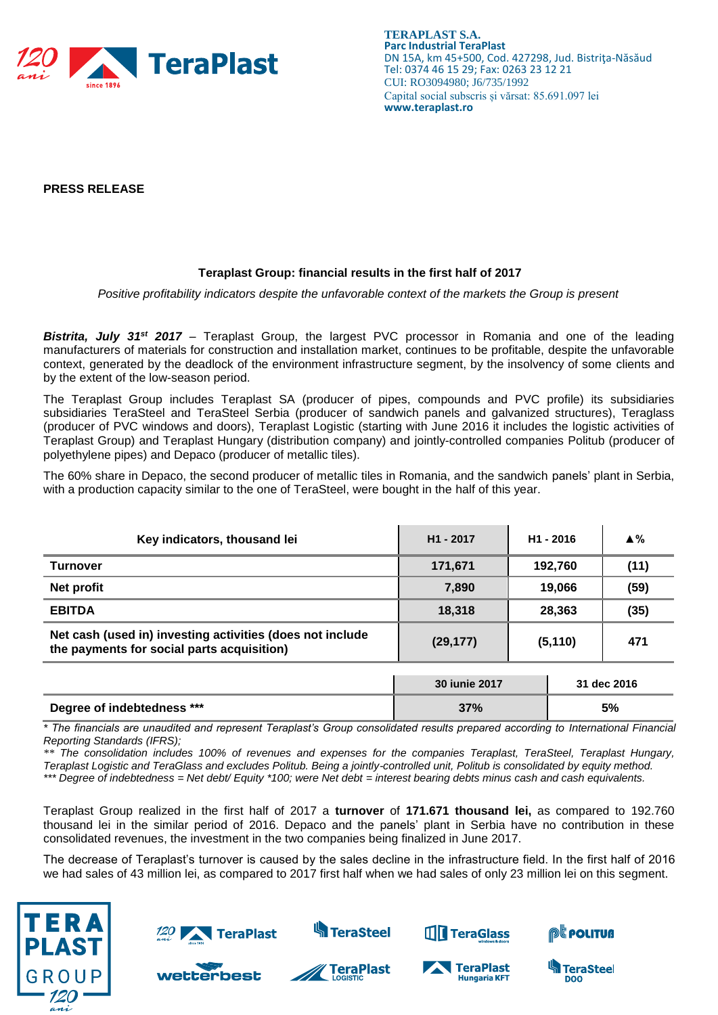

**TERAPLAST S.A. Parc Industrial TeraPlast** DN 15A, km 45+500, Cod. 427298, Jud. Bistriţa-Năsăud Tel: 0374 46 15 29; Fax: 0263 23 12 21 CUI: RO3094980; J6/735/1992 Capital social subscris și vărsat: 85.691.097 lei **www.teraplast.ro**

**PRESS RELEASE**

## **Teraplast Group: financial results in the first half of 2017**

*Positive profitability indicators despite the unfavorable context of the markets the Group is present*

*Bistrita, July 31st 2017* – Teraplast Group, the largest PVC processor in Romania and one of the leading manufacturers of materials for construction and installation market, continues to be profitable, despite the unfavorable context, generated by the deadlock of the environment infrastructure segment, by the insolvency of some clients and by the extent of the low-season period.

The Teraplast Group includes Teraplast SA (producer of pipes, compounds and PVC profile) its subsidiaries subsidiaries TeraSteel and TeraSteel Serbia (producer of sandwich panels and galvanized structures), Teraglass (producer of PVC windows and doors), Teraplast Logistic (starting with June 2016 it includes the logistic activities of Teraplast Group) and Teraplast Hungary (distribution company) and jointly-controlled companies Politub (producer of polyethylene pipes) and Depaco (producer of metallic tiles).

The 60% share in Depaco, the second producer of metallic tiles in Romania, and the sandwich panels' plant in Serbia, with a production capacity similar to the one of TeraSteel, were bought in the half of this year.

| Key indicators, thousand lei                                                                            | H <sub>1</sub> - 2017 | H <sub>1</sub> - 2016 | $\blacktriangle \%$ |
|---------------------------------------------------------------------------------------------------------|-----------------------|-----------------------|---------------------|
| Turnover                                                                                                | 171,671               | 192,760               | (11)                |
| Net profit                                                                                              | 7.890                 | 19,066                | (59)                |
| <b>EBITDA</b>                                                                                           | 18,318                | 28,363                | (35)                |
| Net cash (used in) investing activities (does not include<br>the payments for social parts acquisition) | (29, 177)             | (5, 110)              | 471                 |
|                                                                                                         |                       |                       |                     |

|                            | <b>30 iunie 2017</b> | 31 dec 2016 |
|----------------------------|----------------------|-------------|
| Degree of indebtedness *** | 37%                  | 5%          |

*\* The financials are unaudited and represent Teraplast's Group consolidated results prepared according to International Financial Reporting Standards (IFRS);*

*\*\* The consolidation includes 100% of revenues and expenses for the companies Teraplast, TeraSteel, Teraplast Hungary, Teraplast Logistic and TeraGlass and excludes Politub. Being a jointly-controlled unit, Politub is consolidated by equity method. \*\*\* Degree of indebtedness = Net debt/ Equity \*100; were Net debt = interest bearing debts minus cash and cash equivalents.*

Teraplast Group realized in the first half of 2017 a **turnover** of **171.671 thousand lei,** as compared to 192.760 thousand lei in the similar period of 2016. Depaco and the panels' plant in Serbia have no contribution in these consolidated revenues, the investment in the two companies being finalized in June 2017.

The decrease of Teraplast's turnover is caused by the sales decline in the infrastructure field. In the first half of 2016 we had sales of 43 million lei, as compared to 2017 first half when we had sales of only 23 million lei on this segment.



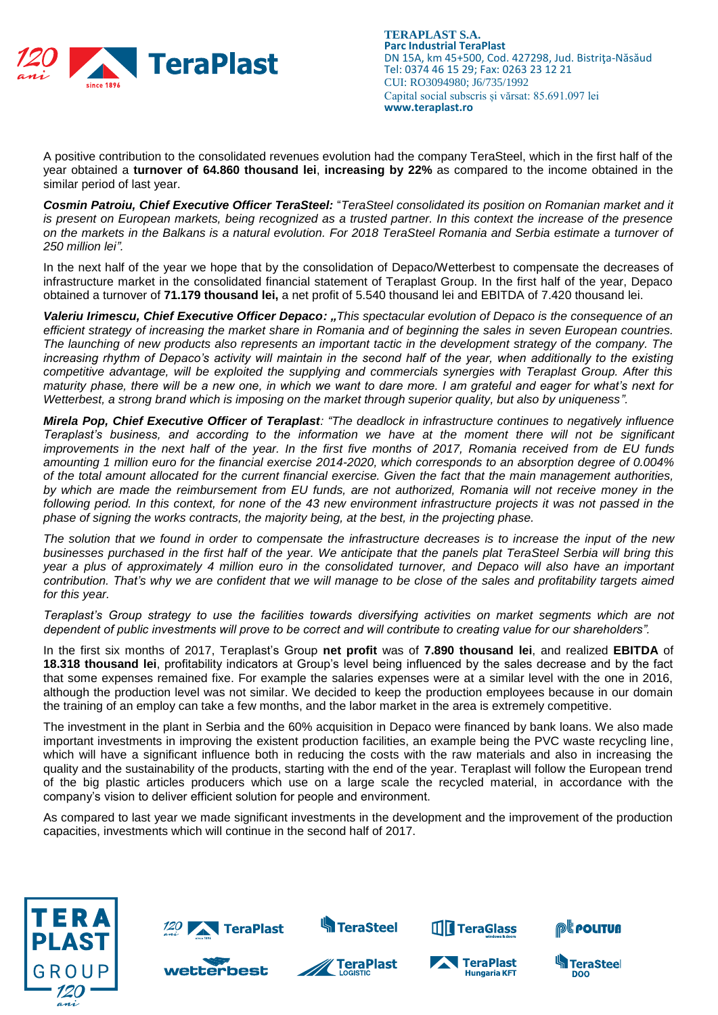

**TERAPLAST S.A. Parc Industrial TeraPlast** DN 15A, km 45+500, Cod. 427298, Jud. Bistriţa-Năsăud Tel: 0374 46 15 29; Fax: 0263 23 12 21 CUI: RO3094980; J6/735/1992 Capital social subscris și vărsat: 85.691.097 lei **www.teraplast.ro**

A positive contribution to the consolidated revenues evolution had the company TeraSteel, which in the first half of the year obtained a **turnover of 64.860 thousand lei**, **increasing by 22%** as compared to the income obtained in the similar period of last year.

*Cosmin Patroiu, Chief Executive Officer TeraSteel:* "*TeraSteel consolidated its position on Romanian market and it is present on European markets, being recognized as a trusted partner. In this context the increase of the presence on the markets in the Balkans is a natural evolution. For 2018 TeraSteel Romania and Serbia estimate a turnover of 250 million lei".*

In the next half of the year we hope that by the consolidation of Depaco/Wetterbest to compensate the decreases of infrastructure market in the consolidated financial statement of Teraplast Group. In the first half of the year, Depaco obtained a turnover of **71.179 thousand lei,** a net profit of 5.540 thousand lei and EBITDA of 7.420 thousand lei.

*Valeriu Irimescu, Chief Executive Officer Depaco: "This spectacular evolution of Depaco is the consequence of an efficient strategy of increasing the market share in Romania and of beginning the sales in seven European countries. The launching of new products also represents an important tactic in the development strategy of the company. The increasing rhythm of Depaco's activity will maintain in the second half of the year, when additionally to the existing competitive advantage, will be exploited the supplying and commercials synergies with Teraplast Group. After this maturity phase, there will be a new one, in which we want to dare more. I am grateful and eager for what's next for Wetterbest, a strong brand which is imposing on the market through superior quality, but also by uniqueness".*

*Mirela Pop, Chief Executive Officer of Teraplast: "The deadlock in infrastructure continues to negatively influence Teraplast's business, and according to the information we have at the moment there will not be significant improvements in the next half of the year. In the first five months of 2017, Romania received from de EU funds amounting 1 million euro for the financial exercise 2014-2020, which corresponds to an absorption degree of 0.004% of the total amount allocated for the current financial exercise. Given the fact that the main management authorities, by which are made the reimbursement from EU funds, are not authorized, Romania will not receive money in the following period. In this context, for none of the 43 new environment infrastructure projects it was not passed in the phase of signing the works contracts, the majority being, at the best, in the projecting phase.* 

*The solution that we found in order to compensate the infrastructure decreases is to increase the input of the new businesses purchased in the first half of the year. We anticipate that the panels plat TeraSteel Serbia will bring this year a plus of approximately 4 million euro in the consolidated turnover, and Depaco will also have an important contribution. That's why we are confident that we will manage to be close of the sales and profitability targets aimed for this year.*

*Teraplast's Group strategy to use the facilities towards diversifying activities on market segments which are not dependent of public investments will prove to be correct and will contribute to creating value for our shareholders".*

In the first six months of 2017, Teraplast's Group **net profit** was of **7.890 thousand lei**, and realized **EBITDA** of **18.318 thousand lei**, profitability indicators at Group's level being influenced by the sales decrease and by the fact that some expenses remained fixe. For example the salaries expenses were at a similar level with the one in 2016, although the production level was not similar. We decided to keep the production employees because in our domain the training of an employ can take a few months, and the labor market in the area is extremely competitive.

The investment in the plant in Serbia and the 60% acquisition in Depaco were financed by bank loans. We also made important investments in improving the existent production facilities, an example being the PVC waste recycling line, which will have a significant influence both in reducing the costs with the raw materials and also in increasing the quality and the sustainability of the products, starting with the end of the year. Teraplast will follow the European trend of the big plastic articles producers which use on a large scale the recycled material, in accordance with the company's vision to deliver efficient solution for people and environment.

As compared to last year we made significant investments in the development and the improvement of the production capacities, investments which will continue in the second half of 2017.